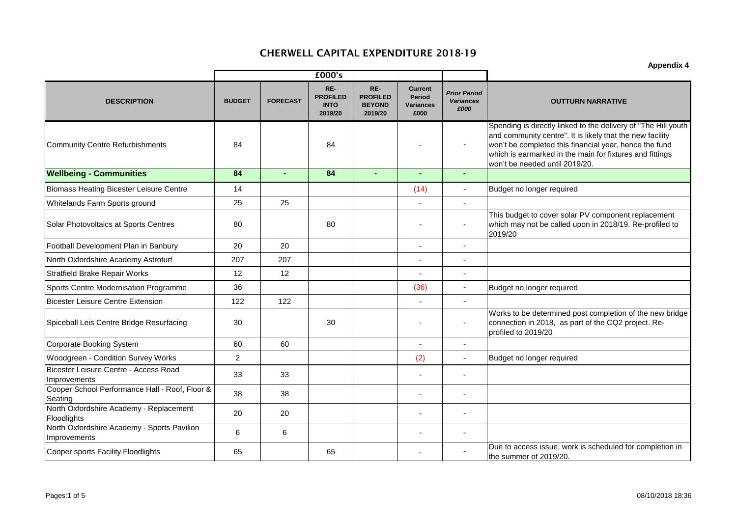|                                                             |               |                 | £000's                                           |                                                    |                                                      | <b>Prior Period</b><br><b>Variances</b><br>£000 |                                                                                                                                                                                                                                                                                     |  |
|-------------------------------------------------------------|---------------|-----------------|--------------------------------------------------|----------------------------------------------------|------------------------------------------------------|-------------------------------------------------|-------------------------------------------------------------------------------------------------------------------------------------------------------------------------------------------------------------------------------------------------------------------------------------|--|
| <b>DESCRIPTION</b>                                          | <b>BUDGET</b> | <b>FORECAST</b> | RE-<br><b>PROFILED</b><br><b>INTO</b><br>2019/20 | RE-<br><b>PROFILED</b><br><b>BEYOND</b><br>2019/20 | <b>Current</b><br>Period<br><b>Variances</b><br>£000 |                                                 | <b>OUTTURN NARRATIVE</b>                                                                                                                                                                                                                                                            |  |
| <b>Community Centre Refurbishments</b>                      | 84            |                 | 84                                               |                                                    |                                                      |                                                 | Spending is directly linked to the delivery of "The Hill youth<br>and community centre". It is likely that the new facility<br>won't be completed this financial year, hence the fund<br>which is earmarked in the main for fixtures and fittings<br>won't be needed until 2019/20. |  |
| <b>Wellbeing - Communities</b>                              | 84            |                 | 84                                               |                                                    |                                                      | $\sim$                                          |                                                                                                                                                                                                                                                                                     |  |
| <b>Biomass Heating Bicester Leisure Centre</b>              | 14            |                 |                                                  |                                                    | (14)                                                 |                                                 | Budget no longer required                                                                                                                                                                                                                                                           |  |
| Whitelands Farm Sports ground                               | 25            | 25              |                                                  |                                                    |                                                      |                                                 |                                                                                                                                                                                                                                                                                     |  |
| Solar Photovoltaics at Sports Centres                       | 80            |                 | 80                                               |                                                    | $\blacksquare$                                       | $\overline{\phantom{a}}$                        | This budget to cover solar PV component replacement<br>which may not be called upon in 2018/19. Re-profiled to<br>2019/20                                                                                                                                                           |  |
| Football Development Plan in Banbury                        | 20            | 20              |                                                  |                                                    | $\blacksquare$                                       | $\tilde{\phantom{a}}$                           |                                                                                                                                                                                                                                                                                     |  |
| North Oxfordshire Academy Astroturf                         | 207           | 207             |                                                  |                                                    |                                                      |                                                 |                                                                                                                                                                                                                                                                                     |  |
| <b>Stratfield Brake Repair Works</b>                        | 12            | 12              |                                                  |                                                    |                                                      | $\tilde{\phantom{a}}$                           |                                                                                                                                                                                                                                                                                     |  |
| Sports Centre Modernisation Programme                       | 36            |                 |                                                  |                                                    | (36)                                                 | $\overline{\phantom{a}}$                        | Budget no longer required                                                                                                                                                                                                                                                           |  |
| <b>Bicester Leisure Centre Extension</b>                    | 122           | 122             |                                                  |                                                    |                                                      | $\sim$                                          |                                                                                                                                                                                                                                                                                     |  |
| Spiceball Leis Centre Bridge Resurfacing                    | 30            |                 | 30                                               |                                                    |                                                      | $\overline{\phantom{a}}$                        | Works to be determined post completion of the new bridge<br>connection in 2018, as part of the CQ2 project. Re-<br>profiled to 2019/20                                                                                                                                              |  |
| <b>Corporate Booking System</b>                             | 60            | 60              |                                                  |                                                    | $\blacksquare$                                       | $\tilde{\phantom{a}}$                           |                                                                                                                                                                                                                                                                                     |  |
| Woodgreen - Condition Survey Works                          | 2             |                 |                                                  |                                                    | (2)                                                  |                                                 | Budget no longer required                                                                                                                                                                                                                                                           |  |
| Bicester Leisure Centre - Access Road<br>Improvements       | 33            | 33              |                                                  |                                                    |                                                      |                                                 |                                                                                                                                                                                                                                                                                     |  |
| Cooper School Performance Hall - Roof, Floor &<br>Seating   | 38            | 38              |                                                  |                                                    |                                                      |                                                 |                                                                                                                                                                                                                                                                                     |  |
| North Oxfordshire Academy - Replacement<br>Floodlights      | 20            | 20              |                                                  |                                                    | $\blacksquare$                                       |                                                 |                                                                                                                                                                                                                                                                                     |  |
| North Oxfordshire Academy - Sports Pavilion<br>Improvements | 6             | 6               |                                                  |                                                    |                                                      |                                                 |                                                                                                                                                                                                                                                                                     |  |
| Cooper sports Facility Floodlights                          | 65            |                 | 65                                               |                                                    |                                                      |                                                 | Due to access issue, work is scheduled for completion in<br>the summer of 2019/20.                                                                                                                                                                                                  |  |

**Appendix 4**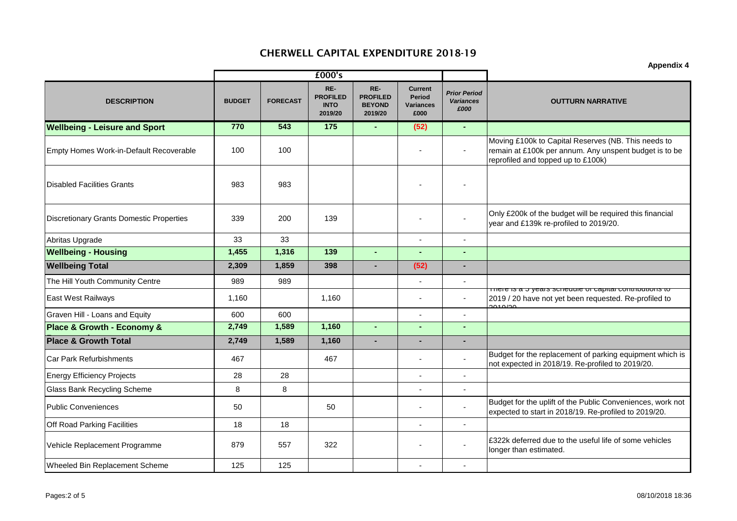|                                                 |               |                 | £000's                                           |                                                    | <b>Appendix 4</b>                                           |                                                 |                                                                                                                                                     |
|-------------------------------------------------|---------------|-----------------|--------------------------------------------------|----------------------------------------------------|-------------------------------------------------------------|-------------------------------------------------|-----------------------------------------------------------------------------------------------------------------------------------------------------|
| <b>DESCRIPTION</b>                              | <b>BUDGET</b> | <b>FORECAST</b> | RE-<br><b>PROFILED</b><br><b>INTO</b><br>2019/20 | RE-<br><b>PROFILED</b><br><b>BEYOND</b><br>2019/20 | <b>Current</b><br><b>Period</b><br><b>Variances</b><br>£000 | <b>Prior Period</b><br><b>Variances</b><br>£000 | <b>OUTTURN NARRATIVE</b>                                                                                                                            |
| <b>Wellbeing - Leisure and Sport</b>            | 770           | 543             | 175                                              |                                                    | (52)                                                        | $\overline{\phantom{a}}$                        |                                                                                                                                                     |
| Empty Homes Work-in-Default Recoverable         | 100           | 100             |                                                  |                                                    |                                                             | $\overline{\phantom{a}}$                        | Moving £100k to Capital Reserves (NB. This needs to<br>remain at £100k per annum. Any unspent budget is to be<br>reprofiled and topped up to £100k) |
| <b>Disabled Facilities Grants</b>               | 983           | 983             |                                                  |                                                    |                                                             |                                                 |                                                                                                                                                     |
| <b>Discretionary Grants Domestic Properties</b> | 339           | 200             | 139                                              |                                                    |                                                             | $\overline{\phantom{a}}$                        | Only £200k of the budget will be required this financial<br>year and £139k re-profiled to 2019/20.                                                  |
| Abritas Upgrade                                 | 33            | 33              |                                                  |                                                    | L,                                                          | $\overline{\phantom{a}}$                        |                                                                                                                                                     |
| <b>Wellbeing - Housing</b>                      | 1,455         | 1,316           | 139                                              | $\mathbf{r}$                                       | L,                                                          | $\sim$                                          |                                                                                                                                                     |
| <b>Wellbeing Total</b>                          | 2,309         | 1,859           | 398                                              |                                                    | (52)                                                        | $\blacksquare$                                  |                                                                                                                                                     |
| The Hill Youth Community Centre                 | 989           | 989             |                                                  |                                                    |                                                             |                                                 |                                                                                                                                                     |
| East West Railways                              | 1,160         |                 | 1,160                                            |                                                    |                                                             | $\tilde{\phantom{a}}$                           | Triere is a p years scriedule or capital commoditoris to<br>2019 / 20 have not yet been requested. Re-profiled to<br>$2040/20$                      |
| Graven Hill - Loans and Equity                  | 600           | 600             |                                                  |                                                    |                                                             |                                                 |                                                                                                                                                     |
| Place & Growth - Economy &                      | 2,749         | 1,589           | 1,160                                            |                                                    |                                                             | $\blacksquare$                                  |                                                                                                                                                     |
| <b>Place &amp; Growth Total</b>                 | 2,749         | 1,589           | 1,160                                            | $\sim$                                             |                                                             | $\sim$                                          |                                                                                                                                                     |
| <b>Car Park Refurbishments</b>                  | 467           |                 | 467                                              |                                                    |                                                             |                                                 | Budget for the replacement of parking equipment which is<br>not expected in 2018/19. Re-profiled to 2019/20.                                        |
| <b>Energy Efficiency Projects</b>               | 28            | 28              |                                                  |                                                    |                                                             |                                                 |                                                                                                                                                     |
| Glass Bank Recycling Scheme                     | 8             | 8               |                                                  |                                                    | L                                                           | $\blacksquare$                                  |                                                                                                                                                     |
| <b>Public Conveniences</b>                      | 50            |                 | 50                                               |                                                    | $\overline{a}$                                              | $\overline{a}$                                  | Budget for the uplift of the Public Conveniences, work not<br>expected to start in 2018/19. Re-profiled to 2019/20.                                 |
| Off Road Parking Facilities                     | 18            | 18              |                                                  |                                                    |                                                             |                                                 |                                                                                                                                                     |
| Vehicle Replacement Programme                   | 879           | 557             | 322                                              |                                                    | L,                                                          |                                                 | £322k deferred due to the useful life of some vehicles<br>longer than estimated.                                                                    |
| Wheeled Bin Replacement Scheme                  | 125           | 125             |                                                  |                                                    |                                                             |                                                 |                                                                                                                                                     |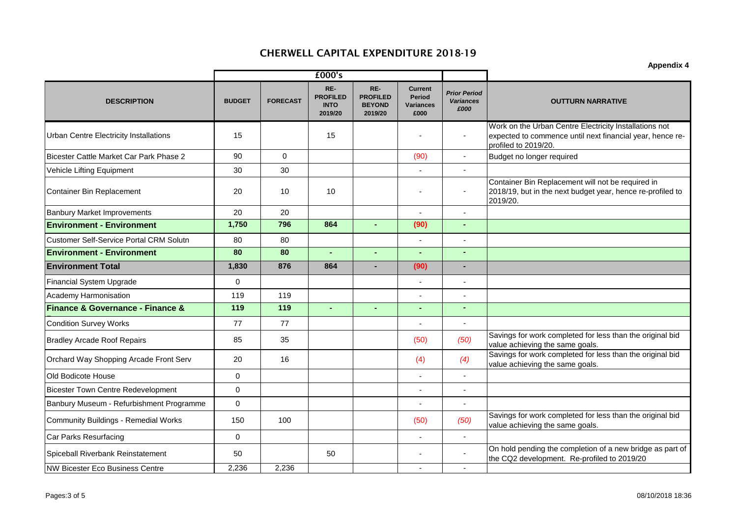|                                                 |               |                 |                                                  |                                                    | <b>Appendix 4</b>                                           |                                                 |                                                                                                                                             |
|-------------------------------------------------|---------------|-----------------|--------------------------------------------------|----------------------------------------------------|-------------------------------------------------------------|-------------------------------------------------|---------------------------------------------------------------------------------------------------------------------------------------------|
|                                                 |               |                 | £000's                                           |                                                    |                                                             |                                                 |                                                                                                                                             |
| <b>DESCRIPTION</b>                              | <b>BUDGET</b> | <b>FORECAST</b> | RE-<br><b>PROFILED</b><br><b>INTO</b><br>2019/20 | RE-<br><b>PROFILED</b><br><b>BEYOND</b><br>2019/20 | <b>Current</b><br><b>Period</b><br><b>Variances</b><br>£000 | <b>Prior Period</b><br><b>Variances</b><br>£000 | <b>OUTTURN NARRATIVE</b>                                                                                                                    |
| <b>Urban Centre Electricity Installations</b>   | 15            |                 | 15                                               |                                                    |                                                             | ÷,                                              | Work on the Urban Centre Electricity Installations not<br>expected to commence until next financial year, hence re-<br>profiled to 2019/20. |
| <b>Bicester Cattle Market Car Park Phase 2</b>  | 90            | $\Omega$        |                                                  |                                                    | (90)                                                        | $\overline{a}$                                  | Budget no longer required                                                                                                                   |
| Vehicle Lifting Equipment                       | 30            | 30              |                                                  |                                                    |                                                             | $\overline{a}$                                  |                                                                                                                                             |
| <b>Container Bin Replacement</b>                | 20            | 10              | 10                                               |                                                    |                                                             |                                                 | Container Bin Replacement will not be required in<br>2018/19, but in the next budget year, hence re-profiled to<br>2019/20.                 |
| <b>Banbury Market Improvements</b>              | 20            | 20              |                                                  |                                                    |                                                             | L,                                              |                                                                                                                                             |
| <b>Environment - Environment</b>                | 1,750         | 796             | 864                                              | $\blacksquare$                                     | (90)                                                        | $\blacksquare$                                  |                                                                                                                                             |
| <b>Customer Self-Service Portal CRM Solutn</b>  | 80            | 80              |                                                  |                                                    |                                                             | $\overline{a}$                                  |                                                                                                                                             |
| <b>Environment - Environment</b>                | 80            | 80              | $\mathbf{r}$                                     |                                                    | $\mathbf{r}$                                                | $\mathbf{r}$                                    |                                                                                                                                             |
| <b>Environment Total</b>                        | 1,830         | 876             | 864                                              |                                                    | (90)                                                        | $\blacksquare$                                  |                                                                                                                                             |
| <b>Financial System Upgrade</b>                 | $\pmb{0}$     |                 |                                                  |                                                    |                                                             |                                                 |                                                                                                                                             |
| Academy Harmonisation                           | 119           | 119             |                                                  |                                                    |                                                             | $\overline{a}$                                  |                                                                                                                                             |
| <b>Finance &amp; Governance - Finance &amp;</b> | 119           | 119             | $\mathbf{r}$                                     | $\blacksquare$                                     | $\sim$                                                      | $\overline{a}$                                  |                                                                                                                                             |
| <b>Condition Survey Works</b>                   | 77            | 77              |                                                  |                                                    |                                                             | $\overline{a}$                                  |                                                                                                                                             |
| <b>Bradley Arcade Roof Repairs</b>              | 85            | 35              |                                                  |                                                    | (50)                                                        | (50)                                            | Savings for work completed for less than the original bid<br>value achieving the same goals.                                                |
| Orchard Way Shopping Arcade Front Serv          | 20            | 16              |                                                  |                                                    | (4)                                                         | (4)                                             | Savings for work completed for less than the original bid<br>value achieving the same goals.                                                |
| Old Bodicote House                              | $\mathbf 0$   |                 |                                                  |                                                    |                                                             | ÷,                                              |                                                                                                                                             |
| <b>Bicester Town Centre Redevelopment</b>       | 0             |                 |                                                  |                                                    |                                                             | $\overline{a}$                                  |                                                                                                                                             |
| Banbury Museum - Refurbishment Programme        | 0             |                 |                                                  |                                                    |                                                             | ٠                                               |                                                                                                                                             |
| <b>Community Buildings - Remedial Works</b>     | 150           | 100             |                                                  |                                                    | (50)                                                        | (50)                                            | Savings for work completed for less than the original bid<br>value achieving the same goals.                                                |
| Car Parks Resurfacing                           | $\mathbf 0$   |                 |                                                  |                                                    |                                                             | ÷,                                              |                                                                                                                                             |
| Spiceball Riverbank Reinstatement               | 50            |                 | 50                                               |                                                    |                                                             |                                                 | On hold pending the completion of a new bridge as part of<br>the CQ2 development. Re-profiled to 2019/20                                    |
| <b>NW Bicester Eco Business Centre</b>          | 2,236         | 2,236           |                                                  |                                                    |                                                             |                                                 |                                                                                                                                             |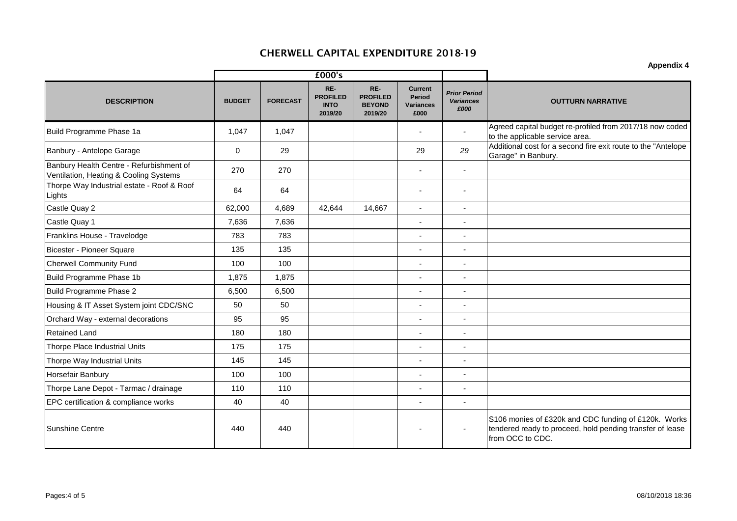|                                                                                    | £000's        |                 |                                                  |                                                    |                                                      |                                                 |                                                                                                                                       |
|------------------------------------------------------------------------------------|---------------|-----------------|--------------------------------------------------|----------------------------------------------------|------------------------------------------------------|-------------------------------------------------|---------------------------------------------------------------------------------------------------------------------------------------|
| <b>DESCRIPTION</b>                                                                 | <b>BUDGET</b> | <b>FORECAST</b> | RE-<br><b>PROFILED</b><br><b>INTO</b><br>2019/20 | RE-<br><b>PROFILED</b><br><b>BEYOND</b><br>2019/20 | <b>Current</b><br>Period<br><b>Variances</b><br>£000 | <b>Prior Period</b><br><b>Variances</b><br>£000 | <b>OUTTURN NARRATIVE</b>                                                                                                              |
| Build Programme Phase 1a                                                           | 1,047         | 1,047           |                                                  |                                                    | $\blacksquare$                                       | $\overline{\phantom{a}}$                        | Agreed capital budget re-profiled from 2017/18 now coded<br>to the applicable service area.                                           |
| Banbury - Antelope Garage                                                          | $\mathbf 0$   | 29              |                                                  |                                                    | 29                                                   | 29                                              | Additional cost for a second fire exit route to the "Antelope<br>Garage" in Banbury.                                                  |
| Banbury Health Centre - Refurbishment of<br>Ventilation, Heating & Cooling Systems | 270           | 270             |                                                  |                                                    |                                                      | $\overline{\phantom{a}}$                        |                                                                                                                                       |
| Thorpe Way Industrial estate - Roof & Roof<br>Lights                               | 64            | 64              |                                                  |                                                    | ٠                                                    | $\overline{\phantom{a}}$                        |                                                                                                                                       |
| Castle Quay 2                                                                      | 62,000        | 4,689           | 42,644                                           | 14,667                                             | ÷,                                                   | $\overline{\phantom{a}}$                        |                                                                                                                                       |
| Castle Quay 1                                                                      | 7,636         | 7,636           |                                                  |                                                    | ä,                                                   | $\tilde{\phantom{a}}$                           |                                                                                                                                       |
| Franklins House - Travelodge                                                       | 783           | 783             |                                                  |                                                    |                                                      |                                                 |                                                                                                                                       |
| Bicester - Pioneer Square                                                          | 135           | 135             |                                                  |                                                    | $\overline{\phantom{a}}$                             | $\overline{\phantom{a}}$                        |                                                                                                                                       |
| <b>Cherwell Community Fund</b>                                                     | 100           | 100             |                                                  |                                                    | ÷,                                                   | $\overline{\phantom{a}}$                        |                                                                                                                                       |
| Build Programme Phase 1b                                                           | 1,875         | 1,875           |                                                  |                                                    |                                                      |                                                 |                                                                                                                                       |
| Build Programme Phase 2                                                            | 6,500         | 6,500           |                                                  |                                                    | $\overline{a}$                                       |                                                 |                                                                                                                                       |
| Housing & IT Asset System joint CDC/SNC                                            | 50            | 50              |                                                  |                                                    | $\blacksquare$                                       | $\overline{\phantom{a}}$                        |                                                                                                                                       |
| Orchard Way - external decorations                                                 | 95            | 95              |                                                  |                                                    | L,                                                   | $\overline{\phantom{a}}$                        |                                                                                                                                       |
| <b>Retained Land</b>                                                               | 180           | 180             |                                                  |                                                    |                                                      | $\overline{\phantom{a}}$                        |                                                                                                                                       |
| Thorpe Place Industrial Units                                                      | 175           | 175             |                                                  |                                                    | $\overline{\phantom{a}}$                             | $\sim$                                          |                                                                                                                                       |
| Thorpe Way Industrial Units                                                        | 145           | 145             |                                                  |                                                    | L,                                                   | $\overline{\phantom{a}}$                        |                                                                                                                                       |
| <b>Horsefair Banbury</b>                                                           | 100           | 100             |                                                  |                                                    | ٠                                                    | $\overline{\phantom{a}}$                        |                                                                                                                                       |
| Thorpe Lane Depot - Tarmac / drainage                                              | 110           | 110             |                                                  |                                                    |                                                      |                                                 |                                                                                                                                       |
| EPC certification & compliance works                                               | 40            | 40              |                                                  |                                                    | Ĭ.                                                   | $\overline{\phantom{a}}$                        |                                                                                                                                       |
| Sunshine Centre                                                                    | 440           | 440             |                                                  |                                                    |                                                      |                                                 | S106 monies of £320k and CDC funding of £120k. Works<br>tendered ready to proceed, hold pending transfer of lease<br>from OCC to CDC. |